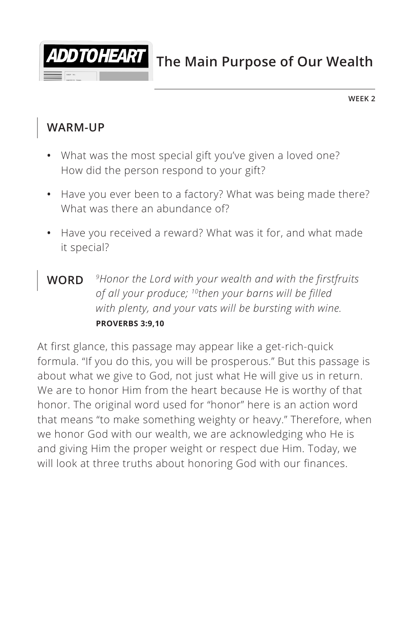

**The Main Purpose of Our Wealth**

**WEEK 2**

#### **WARM-UP**

- **•** What was the most special gift you've given a loved one? How did the person respond to your gift?
- **•** Have you ever been to a factory? What was being made there? What was there an abundance of?
- **•** Have you received a reward? What was it for, and what made it special?
- **WORD** *9Honor the Lord with your wealth and with the firstfruits of all your produce; 10then your barns will be filled with plenty, and your vats will be bursting with wine. ^***PROVERBS 3:9,10**

At first glance, this passage may appear like a get-rich-quick formula. "If you do this, you will be prosperous." But this passage is about what we give to God, not just what He will give us in return. We are to honor Him from the heart because He is worthy of that honor. The original word used for "honor" here is an action word that means "to make something weighty or heavy." Therefore, when we honor God with our wealth, we are acknowledging who He is and giving Him the proper weight or respect due Him. Today, we will look at three truths about honoring God with our finances.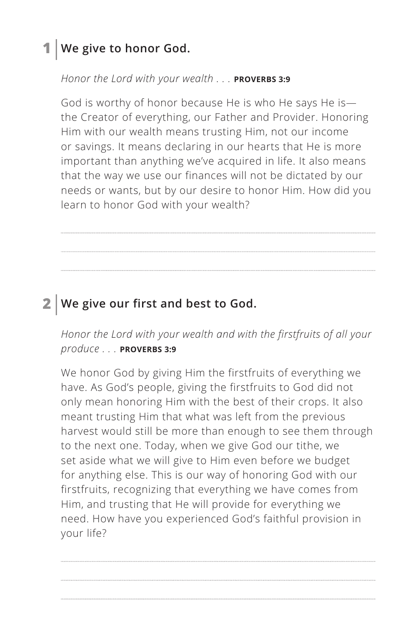## **1 We give to honor God.**

#### *Honor the Lord with your wealth . . . ^***PROVERBS 3:9**

God is worthy of honor because He is who He says He is the Creator of everything, our Father and Provider. Honoring Him with our wealth means trusting Him, not our income or savings. It means declaring in our hearts that He is more important than anything we've acquired in life. It also means that the way we use our finances will not be dictated by our needs or wants, but by our desire to honor Him. How did you learn to honor God with your wealth?

## **2 We give our first and best to God.**

*Honor the Lord with your wealth and with the firstfruits of all your produce . . . ^***PROVERBS 3:9**

We honor God by giving Him the firstfruits of everything we have. As God's people, giving the firstfruits to God did not only mean honoring Him with the best of their crops. It also meant trusting Him that what was left from the previous harvest would still be more than enough to see them through to the next one. Today, when we give God our tithe, we set aside what we will give to Him even before we budget for anything else. This is our way of honoring God with our firstfruits, recognizing that everything we have comes from Him, and trusting that He will provide for everything we need. How have you experienced God's faithful provision in your life?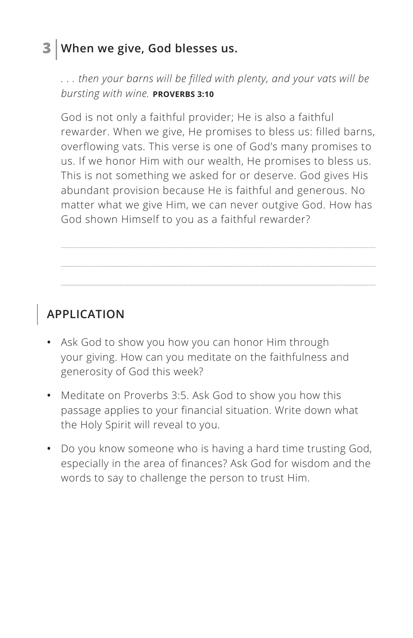## **3 When we give, God blesses us.**

*. . . then your barns will be filled with plenty, and your vats will be bursting with wine. ^***PROVERBS 3:10**

God is not only a faithful provider; He is also a faithful rewarder. When we give, He promises to bless us: filled barns, overflowing vats. This verse is one of God's many promises to us. If we honor Him with our wealth, He promises to bless us. This is not something we asked for or deserve. God gives His abundant provision because He is faithful and generous. No matter what we give Him, we can never outgive God. How has God shown Himself to you as a faithful rewarder?

## **APPLICATION**

- **•** Ask God to show you how you can honor Him through your giving. How can you meditate on the faithfulness and generosity of God this week?
- **•** Meditate on Proverbs 3:5. Ask God to show you how this passage applies to your financial situation. Write down what the Holy Spirit will reveal to you.
- **•** Do you know someone who is having a hard time trusting God, especially in the area of finances? Ask God for wisdom and the words to say to challenge the person to trust Him.